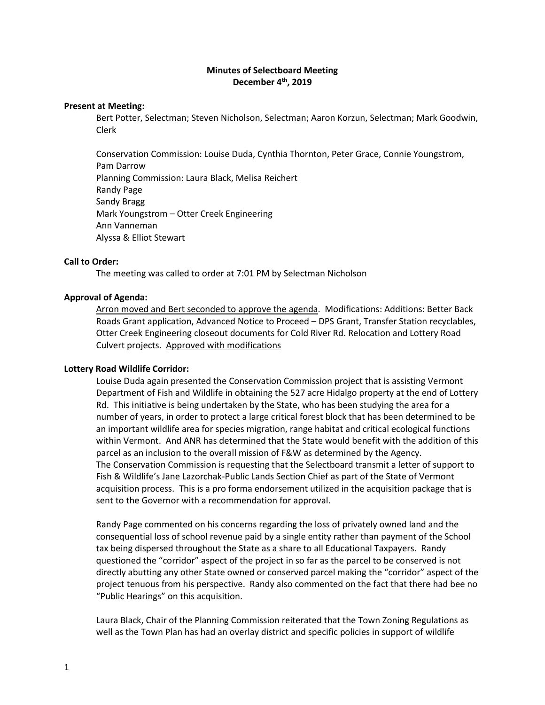# **Minutes of Selectboard Meeting December 4th, 2019**

### **Present at Meeting:**

Bert Potter, Selectman; Steven Nicholson, Selectman; Aaron Korzun, Selectman; Mark Goodwin, Clerk

Conservation Commission: Louise Duda, Cynthia Thornton, Peter Grace, Connie Youngstrom, Pam Darrow Planning Commission: Laura Black, Melisa Reichert Randy Page Sandy Bragg Mark Youngstrom – Otter Creek Engineering Ann Vanneman Alyssa & Elliot Stewart

### **Call to Order:**

The meeting was called to order at 7:01 PM by Selectman Nicholson

### **Approval of Agenda:**

Arron moved and Bert seconded to approve the agenda. Modifications: Additions: Better Back Roads Grant application, Advanced Notice to Proceed – DPS Grant, Transfer Station recyclables, Otter Creek Engineering closeout documents for Cold River Rd. Relocation and Lottery Road Culvert projects. Approved with modifications

### **Lottery Road Wildlife Corridor:**

Louise Duda again presented the Conservation Commission project that is assisting Vermont Department of Fish and Wildlife in obtaining the 527 acre Hidalgo property at the end of Lottery Rd. This initiative is being undertaken by the State, who has been studying the area for a number of years, in order to protect a large critical forest block that has been determined to be an important wildlife area for species migration, range habitat and critical ecological functions within Vermont. And ANR has determined that the State would benefit with the addition of this parcel as an inclusion to the overall mission of F&W as determined by the Agency. The Conservation Commission is requesting that the Selectboard transmit a letter of support to Fish & Wildlife's Jane Lazorchak-Public Lands Section Chief as part of the State of Vermont acquisition process. This is a pro forma endorsement utilized in the acquisition package that is sent to the Governor with a recommendation for approval.

Randy Page commented on his concerns regarding the loss of privately owned land and the consequential loss of school revenue paid by a single entity rather than payment of the School tax being dispersed throughout the State as a share to all Educational Taxpayers. Randy questioned the "corridor" aspect of the project in so far as the parcel to be conserved is not directly abutting any other State owned or conserved parcel making the "corridor" aspect of the project tenuous from his perspective. Randy also commented on the fact that there had bee no "Public Hearings" on this acquisition.

Laura Black, Chair of the Planning Commission reiterated that the Town Zoning Regulations as well as the Town Plan has had an overlay district and specific policies in support of wildlife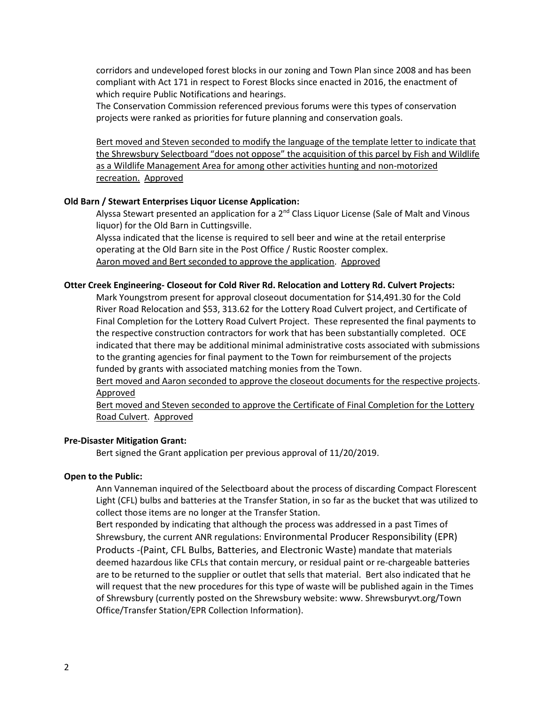corridors and undeveloped forest blocks in our zoning and Town Plan since 2008 and has been compliant with Act 171 in respect to Forest Blocks since enacted in 2016, the enactment of which require Public Notifications and hearings.

The Conservation Commission referenced previous forums were this types of conservation projects were ranked as priorities for future planning and conservation goals.

Bert moved and Steven seconded to modify the language of the template letter to indicate that the Shrewsbury Selectboard "does not oppose" the acquisition of this parcel by Fish and Wildlife as a Wildlife Management Area for among other activities hunting and non-motorized recreation. Approved

## **Old Barn / Stewart Enterprises Liquor License Application:**

Alyssa Stewart presented an application for a  $2<sup>nd</sup>$  Class Liquor License (Sale of Malt and Vinous liquor) for the Old Barn in Cuttingsville.

Alyssa indicated that the license is required to sell beer and wine at the retail enterprise operating at the Old Barn site in the Post Office / Rustic Rooster complex. Aaron moved and Bert seconded to approve the application. Approved

### **Otter Creek Engineering- Closeout for Cold River Rd. Relocation and Lottery Rd. Culvert Projects:**

Mark Youngstrom present for approval closeout documentation for \$14,491.30 for the Cold River Road Relocation and \$53, 313.62 for the Lottery Road Culvert project, and Certificate of Final Completion for the Lottery Road Culvert Project. These represented the final payments to the respective construction contractors for work that has been substantially completed. OCE indicated that there may be additional minimal administrative costs associated with submissions to the granting agencies for final payment to the Town for reimbursement of the projects funded by grants with associated matching monies from the Town.

Bert moved and Aaron seconded to approve the closeout documents for the respective projects. Approved

Bert moved and Steven seconded to approve the Certificate of Final Completion for the Lottery Road Culvert. Approved

## **Pre-Disaster Mitigation Grant:**

Bert signed the Grant application per previous approval of 11/20/2019.

### **Open to the Public:**

Ann Vanneman inquired of the Selectboard about the process of discarding Compact Florescent Light (CFL) bulbs and batteries at the Transfer Station, in so far as the bucket that was utilized to collect those items are no longer at the Transfer Station.

Bert responded by indicating that although the process was addressed in a past Times of Shrewsbury, the current ANR regulations: Environmental Producer Responsibility (EPR) Products -(Paint, CFL Bulbs, Batteries, and Electronic Waste) mandate that materials deemed hazardous like CFLs that contain mercury, or residual paint or re-chargeable batteries are to be returned to the supplier or outlet that sells that material. Bert also indicated that he will request that the new procedures for this type of waste will be published again in the Times of Shrewsbury (currently posted on the Shrewsbury website: www. Shrewsburyvt.org/Town Office/Transfer Station/EPR Collection Information).